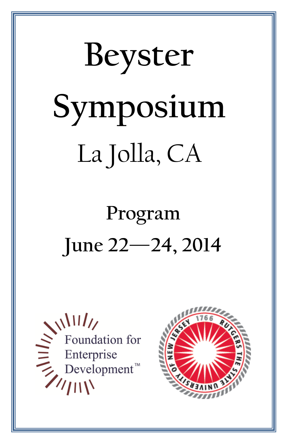# **Beyster Symposium** La Jolla, CA

# **Program June 22—24, 2014**



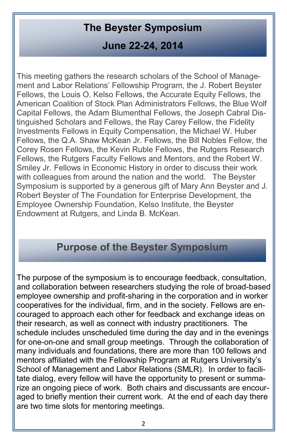# **The Beyster Symposium**

# **June 22-24, 2014**

This meeting gathers the research scholars of the School of Management and Labor Relations' Fellowship Program, the J. Robert Beyster Fellows, the Louis O. Kelso Fellows, the Accurate Equity Fellows, the American Coalition of Stock Plan Administrators Fellows, the Blue Wolf Capital Fellows, the Adam Blumenthal Fellows, the Joseph Cabral Distinguished Scholars and Fellows, the Ray Carey Fellow, the Fidelity Investments Fellows in Equity Compensation, the Michael W. Huber Fellows, the Q.A. Shaw McKean Jr. Fellows, the Bill Nobles Fellow, the Corey Rosen Fellows, the Kevin Ruble Fellows, the Rutgers Research Fellows, the Rutgers Faculty Fellows and Mentors, and the Robert W. Smiley Jr. Fellows in Economic History in order to discuss their work with colleagues from around the nation and the world. The Beyster Symposium is supported by a generous gift of Mary Ann Beyster and J. Robert Beyster of The Foundation for Enterprise Development, the Employee Ownership Foundation, Kelso Institute, the Beyster Endowment at Rutgers, and Linda B. McKean.

# **Purpose of the Beyster Symposium**

The purpose of the symposium is to encourage feedback, consultation, and collaboration between researchers studying the role of broad-based employee ownership and profit-sharing in the corporation and in worker cooperatives for the individual, firm, and in the society. Fellows are encouraged to approach each other for feedback and exchange ideas on their research, as well as connect with industry practitioners. The schedule includes unscheduled time during the day and in the evenings for one-on-one and small group meetings. Through the collaboration of many individuals and foundations, there are more than 100 fellows and mentors affiliated with the Fellowship Program at Rutgers University's School of Management and Labor Relations (SMLR). In order to facilitate dialog, every fellow will have the opportunity to present or summarize an ongoing piece of work. Both chairs and discussants are encouraged to briefly mention their current work. At the end of each day there are two time slots for mentoring meetings.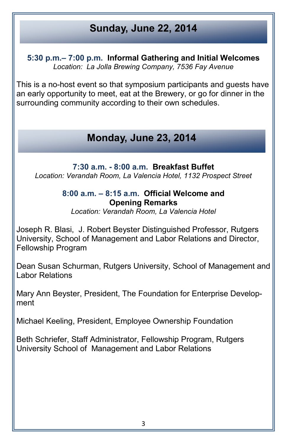# **Sunday, June 22, 2014**

**5:30 p.m.– 7:00 p.m. Informal Gathering and Initial Welcomes** *Location: La Jolla Brewing Company, 7536 Fay Avenue*

This is a no-host event so that symposium participants and guests have an early opportunity to meet, eat at the Brewery, or go for dinner in the surrounding community according to their own schedules.

# **Monday, June 23, 2014**

**7:30 a.m. - 8:00 a.m. Breakfast Buffet** *Location: Verandah Room, La Valencia Hotel, 1132 Prospect Street*

#### **8:00 a.m. – 8:15 a.m. Official Welcome and Opening Remarks**

*Location: Verandah Room, La Valencia Hotel*

Joseph R. Blasi, J. Robert Beyster Distinguished Professor, Rutgers University, School of Management and Labor Relations and Director, Fellowship Program

Dean Susan Schurman, Rutgers University, School of Management and Labor Relations

Mary Ann Beyster, President, The Foundation for Enterprise Development

Michael Keeling, President, Employee Ownership Foundation

Beth Schriefer, Staff Administrator, Fellowship Program, Rutgers University School of Management and Labor Relations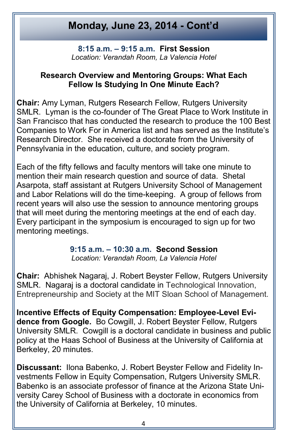**8:15 a.m. – 9:15 a.m. First Session** *Location: Verandah Room, La Valencia Hotel*

#### **Research Overview and Mentoring Groups: What Each Fellow Is Studying In One Minute Each?**

**Chair:** Amy Lyman, Rutgers Research Fellow, Rutgers University SMLR. Lyman is the co-founder of The Great Place to Work Institute in San Francisco that has conducted the research to produce the 100 Best Companies to Work For in America list and has served as the Institute's Research Director. She received a doctorate from the University of Pennsylvania in the education, culture, and society program.

Each of the fifty fellows and faculty mentors will take one minute to mention their main research question and source of data. Shetal Asarpota, staff assistant at Rutgers University School of Management and Labor Relations will do the time-keeping. A group of fellows from recent years will also use the session to announce mentoring groups that will meet during the mentoring meetings at the end of each day. Every participant in the symposium is encouraged to sign up for two mentoring meetings.

# **9:15 a.m. – 10:30 a.m. Second Session**

*Location: Verandah Room, La Valencia Hotel*

**Chair:** Abhishek Nagaraj, J. Robert Beyster Fellow, Rutgers University SMLR. Nagaraj is a doctoral candidate in Technological Innovation, Entrepreneurship and Society at the MIT Sloan School of Management.

**Incentive Effects of Equity Compensation: Employee-Level Evidence from Google.** Bo Cowgill, J. Robert Beyster Fellow, Rutgers University SMLR. Cowgill is a doctoral candidate in business and public policy at the Haas School of Business at the University of California at Berkeley, 20 minutes.

**Discussant:** Ilona Babenko, J. Robert Beyster Fellow and Fidelity Investments Fellow in Equity Compensation, Rutgers University SMLR. Babenko is an associate professor of finance at the Arizona State University Carey School of Business with a doctorate in economics from the University of California at Berkeley, 10 minutes.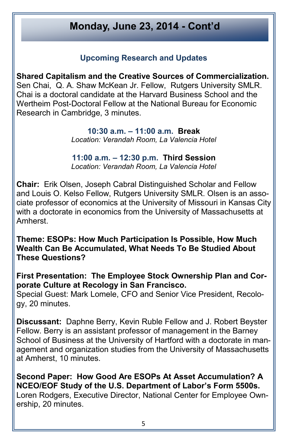#### **Upcoming Research and Updates**

**Shared Capitalism and the Creative Sources of Commercialization.** Sen Chai, Q. A. Shaw McKean Jr. Fellow, Rutgers University SMLR. Chai is a doctoral candidate at the Harvard Business School and the Wertheim Post-Doctoral Fellow at the National Bureau for Economic Research in Cambridge, 3 minutes.

> **10:30 a.m. – 11:00 a.m. Break** *Location: Verandah Room, La Valencia Hotel*

> **11:00 a.m. – 12:30 p.m. Third Session** *Location: Verandah Room, La Valencia Hotel*

**Chair:** Erik Olsen, Joseph Cabral Distinguished Scholar and Fellow and Louis O. Kelso Fellow, Rutgers University SMLR. Olsen is an associate professor of economics at the University of Missouri in Kansas City with a doctorate in economics from the University of Massachusetts at Amherst.

**Theme: ESOPs: How Much Participation Is Possible, How Much Wealth Can Be Accumulated, What Needs To Be Studied About These Questions?**

**First Presentation: The Employee Stock Ownership Plan and Corporate Culture at Recology in San Francisco.**

Special Guest: Mark Lomele, CFO and Senior Vice President, Recology, 20 minutes.

**Discussant:** Daphne Berry, Kevin Ruble Fellow and J. Robert Beyster Fellow. Berry is an assistant professor of management in the Barney School of Business at the University of Hartford with a doctorate in management and organization studies from the University of Massachusetts at Amherst, 10 minutes.

**Second Paper: How Good Are ESOPs At Asset Accumulation? A NCEO/EOF Study of the U.S. Department of Labor's Form 5500s.** Loren Rodgers, Executive Director, National Center for Employee Ownership, 20 minutes.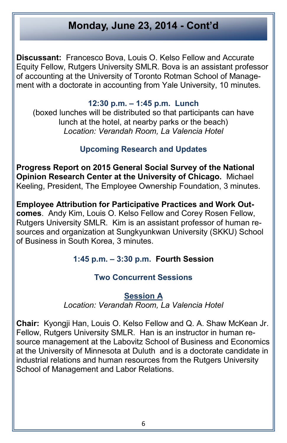**Discussant:** Francesco Bova, Louis O. Kelso Fellow and Accurate Equity Fellow, Rutgers University SMLR. Bova is an assistant professor of accounting at the University of Toronto Rotman School of Management with a doctorate in accounting from Yale University, 10 minutes.

#### **12:30 p.m. – 1:45 p.m. Lunch**

(boxed lunches will be distributed so that participants can have lunch at the hotel, at nearby parks or the beach) *Location: Verandah Room, La Valencia Hotel*

#### **Upcoming Research and Updates**

**Progress Report on 2015 General Social Survey of the National Opinion Research Center at the University of Chicago.** Michael Keeling, President, The Employee Ownership Foundation, 3 minutes.

**Employee Attribution for Participative Practices and Work Outcomes**. Andy Kim, Louis O. Kelso Fellow and Corey Rosen Fellow, Rutgers University SMLR. Kim is an assistant professor of human resources and organization at Sungkyunkwan University (SKKU) School of Business in South Korea, 3 minutes.

#### **1:45 p.m. – 3:30 p.m. Fourth Session**

#### **Two Concurrent Sessions**

#### **Session A**

*Location: Verandah Room, La Valencia Hotel*

**Chair:** Kyongji Han, Louis O. Kelso Fellow and Q. A. Shaw McKean Jr. Fellow, Rutgers University SMLR. Han is an instructor in human resource management at the Labovitz School of Business and Economics at the University of Minnesota at Duluth and is a doctorate candidate in industrial relations and human resources from the Rutgers University School of Management and Labor Relations.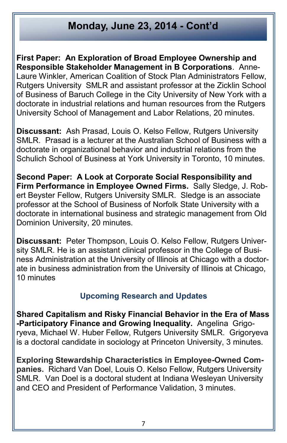**First Paper: An Exploration of Broad Employee Ownership and Responsible Stakeholder Management in B Corporations**. Anne-Laure Winkler, American Coalition of Stock Plan Administrators Fellow, Rutgers University SMLR and assistant professor at the Zicklin School of Business of Baruch College in the City University of New York with a doctorate in industrial relations and human resources from the Rutgers University School of Management and Labor Relations, 20 minutes.

**Discussant:** Ash Prasad, Louis O. Kelso Fellow, Rutgers University SMLR. Prasad is a lecturer at the Australian School of Business with a doctorate in organizational behavior and industrial relations from the Schulich School of Business at York University in Toronto, 10 minutes.

**Second Paper: A Look at Corporate Social Responsibility and Firm Performance in Employee Owned Firms.** Sally Sledge, J. Robert Beyster Fellow, Rutgers University SMLR. Sledge is an associate professor at the School of Business of Norfolk State University with a doctorate in international business and strategic management from Old Dominion University, 20 minutes.

**Discussant:** Peter Thompson, Louis O. Kelso Fellow, Rutgers University SMLR. He is an assistant clinical professor in the College of Business Administration at the University of Illinois at Chicago with a doctorate in business administration from the University of Illinois at Chicago, 10 minutes

#### **Upcoming Research and Updates**

**Shared Capitalism and Risky Financial Behavior in the Era of Mass -Participatory Finance and Growing Inequality.** Angelina Grigoryeva, Michael W. Huber Fellow, Rutgers University SMLR. Grigoryeva is a doctoral candidate in sociology at Princeton University, 3 minutes.

**Exploring Stewardship Characteristics in Employee-Owned Companies.** Richard Van Doel, Louis O. Kelso Fellow, Rutgers University SMLR. Van Doel is a doctoral student at Indiana Wesleyan University and CEO and President of Performance Validation, 3 minutes.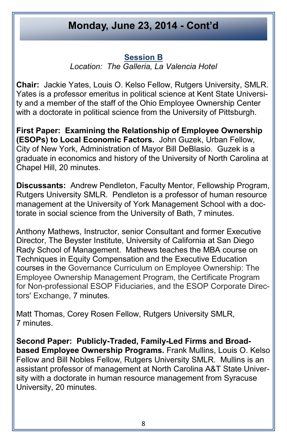#### **Session B**

*Location: The Galleria, La Valencia Hotel*

**Chair:** Jackie Yates, Louis O. Kelso Fellow, Rutgers University, SMLR. Yates is a professor emeritus in political science at Kent State University and a member of the staff of the Ohio Employee Ownership Center with a doctorate in political science from the University of Pittsburgh.

**First Paper: Examining the Relationship of Employee Ownership (ESOPs) to Local Economic Factors.** John Guzek, Urban Fellow, City of New York, Administration of Mayor Bill DeBlasio. Guzek is a graduate in economics and history of the University of North Carolina at Chapel Hill, 20 minutes.

**Discussants:** Andrew Pendleton, Faculty Mentor, Fellowship Program, Rutgers University SMLR. Pendleton is a professor of human resource management at the University of York Management School with a doctorate in social science from the University of Bath, 7 minutes.

Anthony Mathews, Instructor, senior Consultant and former Executive Director, The Beyster Institute, University of California at San Diego Rady School of Management. Mathews teaches the MBA course on Techniques in Equity Compensation and the Executive Education courses in the Governance Curriculum on Employee Ownership: The Employee Ownership Management Program, the Certificate Program for Non-professional ESOP Fiduciaries, and the ESOP Corporate Directors' Exchange, 7 minutes.

Matt Thomas, Corey Rosen Fellow, Rutgers University SMLR, 7 minutes.

**Second Paper: Publicly-Traded, Family-Led Firms and Broadbased Employee Ownership Programs.** Frank Mullins, Louis O. Kelso Fellow and Bill Nobles Fellow, Rutgers University SMLR. Mullins is an assistant professor of management at North Carolina A&T State University with a doctorate in human resource management from Syracuse University, 20 minutes.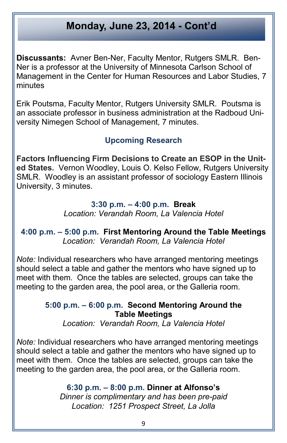**Discussants:** Avner Ben-Ner, Faculty Mentor, Rutgers SMLR. Ben-Ner is a professor at the University of Minnesota Carlson School of Management in the Center for Human Resources and Labor Studies, 7 minutes

Erik Poutsma, Faculty Mentor, Rutgers University SMLR. Poutsma is an associate professor in business administration at the Radboud University Nimegen School of Management, 7 minutes.

#### **Upcoming Research**

**Factors Influencing Firm Decisions to Create an ESOP in the United States.** Vernon Woodley, Louis O. Kelso Fellow, Rutgers University SMLR. Woodley is an assistant professor of sociology Eastern Illinois University, 3 minutes.

#### **3:30 p.m. – 4:00 p.m. Break** *Location: Verandah Room, La Valencia Hotel*

**4:00 p.m. – 5:00 p.m. First Mentoring Around the Table Meetings** *Location: Verandah Room, La Valencia Hotel* 

*Note:* Individual researchers who have arranged mentoring meetings should select a table and gather the mentors who have signed up to meet with them. Once the tables are selected, groups can take the meeting to the garden area, the pool area, or the Galleria room.

#### **5:00 p.m. – 6:00 p.m. Second Mentoring Around the Table Meetings**

*Location: Verandah Room, La Valencia Hotel* 

*Note:* Individual researchers who have arranged mentoring meetings should select a table and gather the mentors who have signed up to meet with them. Once the tables are selected, groups can take the meeting to the garden area, the pool area, or the Galleria room.

> **6:30 p.m. – 8:00 p.m. Dinner at Alfonso's** *Dinner is complimentary and has been pre-paid Location: 1251 Prospect Street, La Jolla*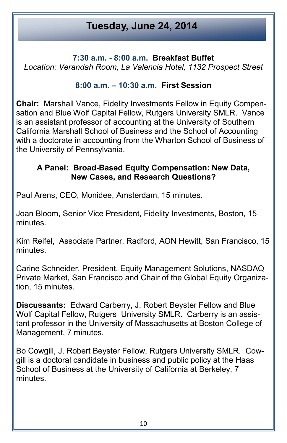# **Tuesday, June 24, 2014**

**7:30 a.m. - 8:00 a.m. Breakfast Buffet**

*Location: Verandah Room, La Valencia Hotel, 1132 Prospect Street*

#### **8:00 a.m. – 10:30 a.m. First Session**

**Chair:** Marshall Vance, Fidelity Investments Fellow in Equity Compensation and Blue Wolf Capital Fellow, Rutgers University SMLR. Vance is an assistant professor of accounting at the University of Southern California Marshall School of Business and the School of Accounting with a doctorate in accounting from the Wharton School of Business of the University of Pennsylvania.

#### **A Panel: Broad-Based Equity Compensation: New Data, New Cases, and Research Questions?**

Paul Arens, CEO, Monidee, Amsterdam, 15 minutes.

Joan Bloom, Senior Vice President, Fidelity Investments, Boston, 15 minutes.

Kim Reifel, Associate Partner, Radford, AON Hewitt, San Francisco, 15 minutes.

Carine Schneider, President, Equity Management Solutions, NASDAQ Private Market, San Francisco and Chair of the Global Equity Organization, 15 minutes.

**Discussants:** Edward Carberry, J. Robert Beyster Fellow and Blue Wolf Capital Fellow, Rutgers University SMLR. Carberry is an assistant professor in the University of Massachusetts at Boston College of Management, 7 minutes.

Bo Cowgill, J. Robert Beyster Fellow, Rutgers University SMLR. Cowgill is a doctoral candidate in business and public policy at the Haas School of Business at the University of California at Berkeley, 7 minutes.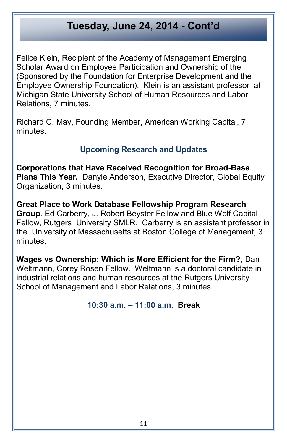Felice Klein, Recipient of the Academy of Management Emerging Scholar Award on Employee Participation and Ownership of the (Sponsored by the Foundation for Enterprise Development and the Employee Ownership Foundation). Klein is an assistant professor at Michigan State University School of Human Resources and Labor Relations, 7 minutes.

Richard C. May, Founding Member, American Working Capital, 7 minutes.

#### **Upcoming Research and Updates**

**Corporations that Have Received Recognition for Broad-Base Plans This Year.** Danyle Anderson, Executive Director, Global Equity Organization, 3 minutes.

**Great Place to Work Database Fellowship Program Research Group**. Ed Carberry, J. Robert Beyster Fellow and Blue Wolf Capital Fellow, Rutgers University SMLR. Carberry is an assistant professor in the University of Massachusetts at Boston College of Management, 3 minutes.

**Wages vs Ownership: Which is More Efficient for the Firm?**, Dan Weltmann, Corey Rosen Fellow. Weltmann is a doctoral candidate in industrial relations and human resources at the Rutgers University School of Management and Labor Relations, 3 minutes.

#### **10:30 a.m. – 11:00 a.m. Break**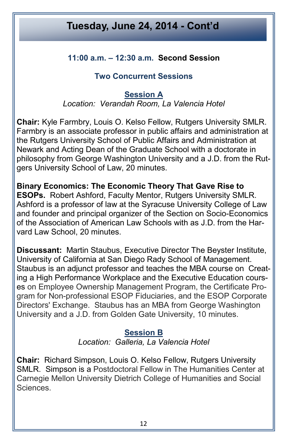#### **11:00 a.m. – 12:30 a.m. Second Session**

#### **Two Concurrent Sessions**

#### **Session A** *Location: Verandah Room, La Valencia Hotel*

**Chair:** Kyle Farmbry, Louis O. Kelso Fellow, Rutgers University SMLR. Farmbry is an associate professor in public affairs and administration at the Rutgers University School of Public Affairs and Administration at Newark and Acting Dean of the Graduate School with a doctorate in philosophy from George Washington University and a J.D. from the Rutgers University School of Law, 20 minutes.

**Binary Economics: The Economic Theory That Gave Rise to ESOPs.** Robert Ashford, Faculty Mentor, Rutgers University SMLR. Ashford is a professor of law at the Syracuse University College of Law and founder and principal organizer of the Section on Socio-Economics of the Association of American Law Schools with as J.D. from the Harvard Law School, 20 minutes.

**Discussant:** Martin Staubus, Executive Director The Beyster Institute, University of California at San Diego Rady School of Management. Staubus is an adjunct professor and teaches the MBA course on Creating a High Performance Workplace and the Executive Education courses on Employee Ownership Management Program, the Certificate Program for Non-professional ESOP Fiduciaries, and the ESOP Corporate Directors' Exchange. Staubus has an MBA from George Washington University and a J.D. from Golden Gate University, 10 minutes.

#### **Session B**

*Location: Galleria, La Valencia Hotel*

**Chair:** Richard Simpson, Louis O. Kelso Fellow, Rutgers University SMLR. Simpson is a Postdoctoral Fellow in The Humanities Center at Carnegie Mellon University Dietrich College of Humanities and Social Sciences.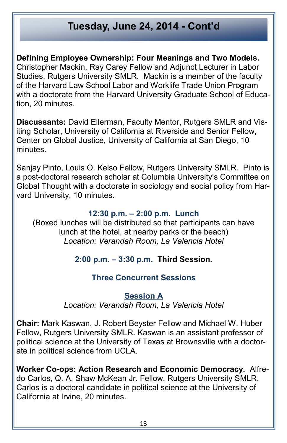**Defining Employee Ownership: Four Meanings and Two Models.** Christopher Mackin, Ray Carey Fellow and Adjunct Lecturer in Labor Studies, Rutgers University SMLR. Mackin is a member of the faculty of the Harvard Law School Labor and Worklife Trade Union Program with a doctorate from the Harvard University Graduate School of Education, 20 minutes.

**Discussants:** David Ellerman, Faculty Mentor, Rutgers SMLR and Visiting Scholar, University of California at Riverside and Senior Fellow, Center on Global Justice, University of California at San Diego, 10 minutes.

Sanjay Pinto, Louis O. Kelso Fellow, Rutgers University SMLR. Pinto is a post-doctoral research scholar at Columbia University's Committee on Global Thought with a doctorate in sociology and social policy from Harvard University, 10 minutes.

#### **12:30 p.m. – 2:00 p.m. Lunch**

(Boxed lunches will be distributed so that participants can have lunch at the hotel, at nearby parks or the beach) *Location: Verandah Room, La Valencia Hotel*

#### **2:00 p.m. – 3:30 p.m. Third Session.**

#### **Three Concurrent Sessions**

#### **Session A**

*Location: Verandah Room, La Valencia Hotel*

**Chair:** Mark Kaswan, J. Robert Beyster Fellow and Michael W. Huber Fellow, Rutgers University SMLR. Kaswan is an assistant professor of political science at the University of Texas at Brownsville with a doctorate in political science from UCLA.

**Worker Co-ops: Action Research and Economic Democracy.** Alfredo Carlos, Q. A. Shaw McKean Jr. Fellow, Rutgers University SMLR. Carlos is a doctoral candidate in political science at the University of California at Irvine, 20 minutes.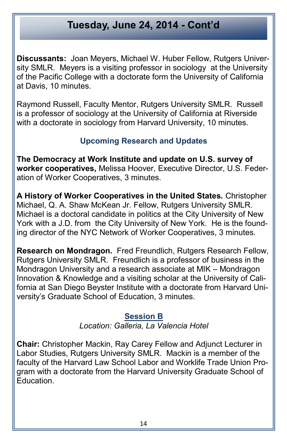**Discussants:** Joan Meyers, Michael W. Huber Fellow, Rutgers University SMLR. Meyers is a visiting professor in sociology at the University of the Pacific College with a doctorate form the University of California at Davis, 10 minutes.

Raymond Russell, Faculty Mentor, Rutgers University SMLR. Russell is a professor of sociology at the University of California at Riverside with a doctorate in sociology from Harvard University, 10 minutes.

#### **Upcoming Research and Updates**

**The Democracy at Work Institute and update on U.S. survey of worker cooperatives,** Melissa Hoover, Executive Director, U.S. Federation of Worker Cooperatives, 3 minutes.

**A History of Worker Cooperatives in the United States.** Christopher Michael, Q. A. Shaw McKean Jr. Fellow, Rutgers University SMLR. Michael is a doctoral candidate in politics at the City University of New York with a J.D. from the City University of New York. He is the founding director of the NYC Network of Worker Cooperatives, 3 minutes.

**Research on Mondragon.** Fred Freundlich, Rutgers Research Fellow, Rutgers University SMLR. Freundlich is a professor of business in the Mondragon University and a research associate at MIK – Mondragon Innovation & Knowledge and a visiting scholar at the University of California at San Diego Beyster Institute with a doctorate from Harvard University's Graduate School of Education, 3 minutes.

#### **Session B**

*Location: Galleria, La Valencia Hotel*

**Chair:** Christopher Mackin, Ray Carey Fellow and Adjunct Lecturer in Labor Studies, Rutgers University SMLR. Mackin is a member of the faculty of the Harvard Law School Labor and Worklife Trade Union Program with a doctorate from the Harvard University Graduate School of Education.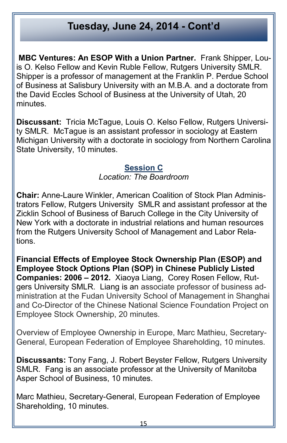**MBC Ventures: An ESOP With a Union Partner.** Frank Shipper, Louis O. Kelso Fellow and Kevin Ruble Fellow, Rutgers University SMLR. Shipper is a professor of management at the Franklin P. Perdue School of Business at Salisbury University with an M.B.A. and a doctorate from the David Eccles School of Business at the University of Utah, 20 minutes.

**Discussant:** Tricia McTague, Louis O. Kelso Fellow, Rutgers University SMLR. McTague is an assistant professor in sociology at Eastern Michigan University with a doctorate in sociology from Northern Carolina State University, 10 minutes.

### **Session C**

*Location: The Boardroom*

**Chair:** Anne-Laure Winkler, American Coalition of Stock Plan Administrators Fellow, Rutgers University SMLR and assistant professor at the Zicklin School of Business of Baruch College in the City University of New York with a doctorate in industrial relations and human resources from the Rutgers University School of Management and Labor Relations.

**Financial Effects of Employee Stock Ownership Plan (ESOP) and Employee Stock Options Plan (SOP) in Chinese Publicly Listed Companies: 2006 – 2012.** Xiaoya Liang, Corey Rosen Fellow, Rutgers University SMLR. Liang is an associate professor of business administration at the Fudan University School of Management in Shanghai and Co-Director of the Chinese National Science Foundation Project on Employee Stock Ownership, 20 minutes.

Overview of Employee Ownership in Europe, Marc Mathieu, Secretary-General, European Federation of Employee Shareholding, 10 minutes.

**Discussants:** Tony Fang, J. Robert Beyster Fellow, Rutgers University SMLR. Fang is an associate professor at the University of Manitoba Asper School of Business, 10 minutes.

Marc Mathieu, Secretary-General, European Federation of Employee Shareholding, 10 minutes.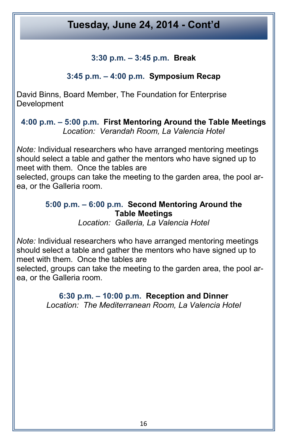#### **3:30 p.m. – 3:45 p.m. Break**

#### **3:45 p.m. – 4:00 p.m. Symposium Recap**

David Binns, Board Member, The Foundation for Enterprise **Development** 

**4:00 p.m. – 5:00 p.m. First Mentoring Around the Table Meetings** *Location: Verandah Room, La Valencia Hotel* 

*Note:* Individual researchers who have arranged mentoring meetings should select a table and gather the mentors who have signed up to meet with them. Once the tables are

selected, groups can take the meeting to the garden area, the pool area, or the Galleria room.

#### **5:00 p.m. – 6:00 p.m. Second Mentoring Around the Table Meetings**

*Location: Galleria, La Valencia Hotel* 

*Note:* Individual researchers who have arranged mentoring meetings should select a table and gather the mentors who have signed up to meet with them. Once the tables are

selected, groups can take the meeting to the garden area, the pool area, or the Galleria room.

> **6:30 p.m. – 10:00 p.m. Reception and Dinner** *Location: The Mediterranean Room, La Valencia Hotel*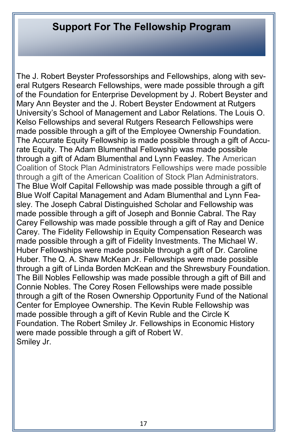# **Support For The Fellowship Program**

The J. Robert Beyster Professorships and Fellowships, along with several Rutgers Research Fellowships, were made possible through a gift of the Foundation for Enterprise Development by J. Robert Beyster and Mary Ann Beyster and the J. Robert Beyster Endowment at Rutgers University's School of Management and Labor Relations. The Louis O. Kelso Fellowships and several Rutgers Research Fellowships were made possible through a gift of the Employee Ownership Foundation. The Accurate Equity Fellowship is made possible through a gift of Accurate Equity. The Adam Blumenthal Fellowship was made possible through a gift of Adam Blumenthal and Lynn Feasley. The American Coalition of Stock Plan Administrators Fellowships were made possible through a gift of the American Coalition of Stock Plan Administrators. The Blue Wolf Capital Fellowship was made possible through a gift of Blue Wolf Capital Management and Adam Blumenthal and Lynn Feasley. The Joseph Cabral Distinguished Scholar and Fellowship was made possible through a gift of Joseph and Bonnie Cabral. The Ray Carey Fellowship was made possible through a gift of Ray and Denice Carey. The Fidelity Fellowship in Equity Compensation Research was made possible through a gift of Fidelity Investments. The Michael W. Huber Fellowships were made possible through a gift of Dr. Caroline Huber. The Q. A. Shaw McKean Jr. Fellowships were made possible through a gift of Linda Borden McKean and the Shrewsbury Foundation. The Bill Nobles Fellowship was made possible through a gift of Bill and Connie Nobles. The Corey Rosen Fellowships were made possible through a gift of the Rosen Ownership Opportunity Fund of the National Center for Employee Ownership. The Kevin Ruble Fellowship was made possible through a gift of Kevin Ruble and the Circle K Foundation. The Robert Smiley Jr. Fellowships in Economic History were made possible through a gift of Robert W. Smiley Jr.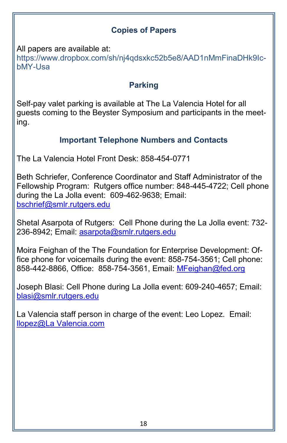#### **Copies of Papers**

All papers are available at:

[https://www.dropbox.com/sh/nj4qdsxkc52b5e8/AAD1nMmFinaDHk9Ic](https://www.dropbox.com/sh/nj4qdsxkc52b5e8/AAD1nMmFinaDHk9Ic-bMY-Usa)[bMY](https://www.dropbox.com/sh/nj4qdsxkc52b5e8/AAD1nMmFinaDHk9Ic-bMY-Usa)-Usa

#### **Parking**

Self-pay valet parking is available at The La Valencia Hotel for all guests coming to the Beyster Symposium and participants in the meeting.

#### **Important Telephone Numbers and Contacts**

The La Valencia Hotel Front Desk: 858-454-0771

Beth Schriefer, Conference Coordinator and Staff Administrator of the Fellowship Program: Rutgers office number: 848-445-4722; Cell phone during the La Jolla event: 609-462-9638; Email: [bschrief@smlr.rutgers.edu](mailto:bschrief@smlr.rutgers.edu)

Shetal Asarpota of Rutgers: Cell Phone during the La Jolla event: 732- 236-8942; Email: asarpota@smlr.rutgers.edu

Moira Feighan of the The Foundation for Enterprise Development: Office phone for voicemails during the event: 858-754-3561; Cell phone: 858-442-8866, Office: 858-754-3561, Email: [MFeighan@fed.org](mailto:MFeighan@fed.org) 

Joseph Blasi: Cell Phone during La Jolla event: 609-240-4657; Email: [blasi@smlr.rutgers.edu](mailto:blasi@smlr.rutgers.edu)

La Valencia staff person in charge of the event: Leo Lopez. Email: [llopez@La Valencia.com](mailto:llopez@lavalencia.com)